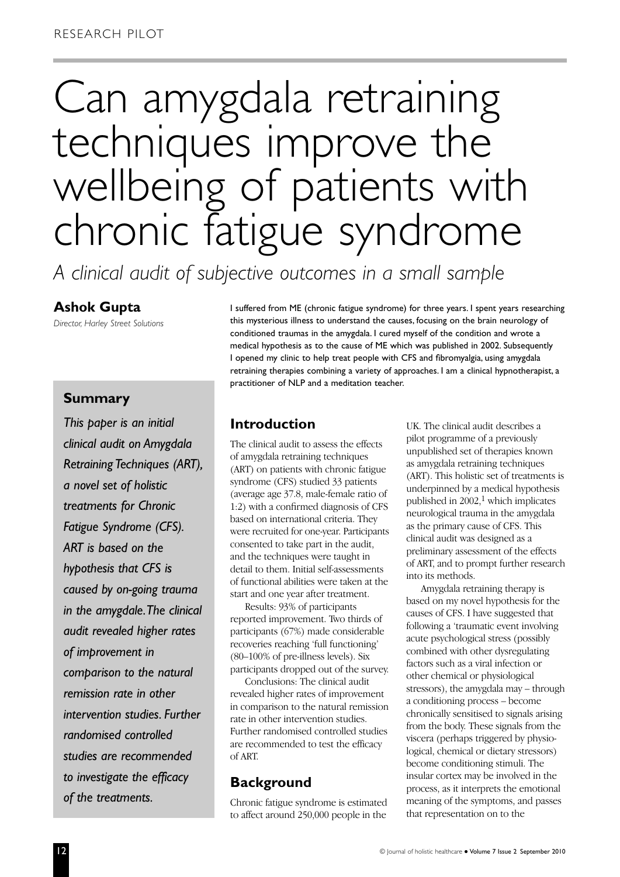# Can amygdala retraining techniques improve the wellbeing of patients with chronic fatigue syndrome

*A clinical audit of subjective outcomes in a small sample*

#### **Ashok Gupta**

*Director, Harley Street Solutions*

I suffered from ME (chronic fatigue syndrome) for three years. I spent years researching this mysterious illness to understand the causes, focusing on the brain neurology of conditioned traumas in the amygdala. I cured myself of the condition and wrote a medical hypothesis as to the cause of ME which was published in 2002. Subsequently I opened my clinic to help treat people with CFS and fibromyalgia, using amygdala retraining therapies combining a variety of approaches. I am a clinical hypnotherapist, a practitioner of NLP and a meditation teacher.

## **Summary**

*This paper is an initial clinical audit on Amygdala Retraining Techniques (ART), a novel set of holistic treatments for Chronic Fatigue Syndrome (CFS). ART is based on the hypothesis that CFS is caused by on-going trauma in the amygdale.The clinical audit revealed higher rates of improvement in comparison to the natural remission rate in other intervention studies. Further randomised controlled studies are recommended to investigate the efficacy of the treatments.*

# **Introduction**

The clinical audit to assess the effects of amygdala retraining techniques (ART) on patients with chronic fatigue syndrome (CFS) studied 33 patients (average age 37.8, male-female ratio of 1:2) with a confirmed diagnosis of CFS based on international criteria. They were recruited for one-year. Participants consented to take part in the audit, and the techniques were taught in detail to them. Initial self-assessments of functional abilities were taken at the start and one year after treatment.

Results: 93% of participants reported improvement. Two thirds of participants (67%) made considerable recoveries reaching 'full functioning' (80–100% of pre-illness levels). Six participants dropped out of the survey.

Conclusions: The clinical audit revealed higher rates of improvement in comparison to the natural remission rate in other intervention studies. Further randomised controlled studies are recommended to test the efficacy of ART.

# **Background**

Chronic fatigue syndrome is estimated to affect around 250,000 people in the

UK. The clinical audit describes a pilot programme of a previously unpublished set of therapies known as amygdala retraining techniques (ART). This holistic set of treatments is underpinned by a medical hypothesis published in  $2002$ ,<sup>1</sup> which implicates neurological trauma in the amygdala as the primary cause of CFS. This clinical audit was designed as a preliminary assessment of the effects of ART, and to prompt further research into its methods.

Amygdala retraining therapy is based on my novel hypothesis for the causes of CFS. I have suggested that following a 'traumatic event involving acute psychological stress (possibly combined with other dysregulating factors such as a viral infection or other chemical or physiological stressors), the amygdala may – through a conditioning process – become chronically sensitised to signals arising from the body. These signals from the viscera (perhaps triggered by physiological, chemical or dietary stressors) become conditioning stimuli. The insular cortex may be involved in the process, as it interprets the emotional meaning of the symptoms, and passes that representation on to the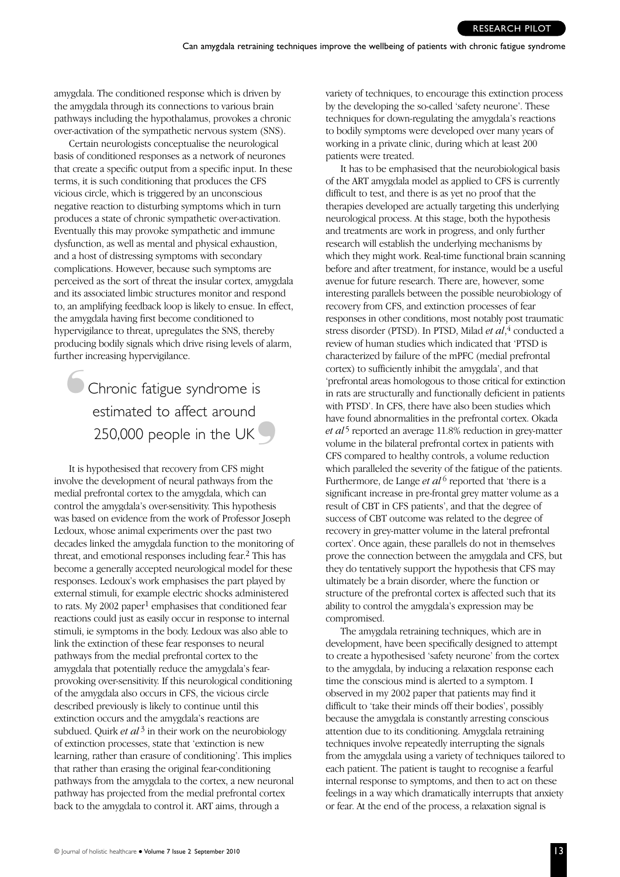amygdala. The conditioned response which is driven by the amygdala through its connections to various brain pathways including the hypothalamus, provokes a chronic over-activation of the sympathetic nervous system (SNS).

Certain neurologists conceptualise the neurological basis of conditioned responses as a network of neurones that create a specific output from a specific input. In these terms, it is such conditioning that produces the CFS vicious circle, which is triggered by an unconscious negative reaction to disturbing symptoms which in turn produces a state of chronic sympathetic over-activation. Eventually this may provoke sympathetic and immune dysfunction, as well as mental and physical exhaustion, and a host of distressing symptoms with secondary complications. However, because such symptoms are perceived as the sort of threat the insular cortex, amygdala and its associated limbic structures monitor and respond to, an amplifying feedback loop is likely to ensue. In effect, the amygdala having first become conditioned to hypervigilance to threat, upregulates the SNS, thereby producing bodily signals which drive rising levels of alarm, further increasing hypervigilance.  $\overline{\bullet}$ 

Chronic fatigue syndrome is estimated to affect around 250,000 people in the UK  $\bigcirc$ 

It is hypothesised that recovery from CFS might involve the development of neural pathways from the medial prefrontal cortex to the amygdala, which can control the amygdala's over-sensitivity. This hypothesis was based on evidence from the work of Professor Joseph Ledoux, whose animal experiments over the past two decades linked the amygdala function to the monitoring of threat, and emotional responses including fear.2 This has become a generally accepted neurological model for these responses. Ledoux's work emphasises the part played by external stimuli, for example electric shocks administered to rats. My 2002 paper<sup>1</sup> emphasises that conditioned fear reactions could just as easily occur in response to internal stimuli, ie symptoms in the body. Ledoux was also able to link the extinction of these fear responses to neural pathways from the medial prefrontal cortex to the amygdala that potentially reduce the amygdala's fearprovoking over-sensitivity. If this neurological conditioning of the amygdala also occurs in CFS, the vicious circle described previously is likely to continue until this extinction occurs and the amygdala's reactions are subdued. Ouirk *et al*<sup>3</sup> in their work on the neurobiology of extinction processes, state that 'extinction is new learning, rather than erasure of conditioning'. This implies that rather than erasing the original fear-conditioning pathways from the amygdala to the cortex, a new neuronal pathway has projected from the medial prefrontal cortex back to the amygdala to control it. ART aims, through a

variety of techniques, to encourage this extinction process by the developing the so-called 'safety neurone'. These techniques for down-regulating the amygdala's reactions to bodily symptoms were developed over many years of working in a private clinic, during which at least 200 patients were treated.

It has to be emphasised that the neurobiological basis of the ART amygdala model as applied to CFS is currently difficult to test, and there is as yet no proof that the therapies developed are actually targeting this underlying neurological process. At this stage, both the hypothesis and treatments are work in progress, and only further research will establish the underlying mechanisms by which they might work. Real-time functional brain scanning before and after treatment, for instance, would be a useful avenue for future research. There are, however, some interesting parallels between the possible neurobiology of recovery from CFS, and extinction processes of fear responses in other conditions, most notably post traumatic stress disorder (PTSD). In PTSD, Milad *et al*, 4 conducted a review of human studies which indicated that 'PTSD is characterized by failure of the mPFC (medial prefrontal cortex) to sufficiently inhibit the amygdala', and that 'prefrontal areas homologous to those critical for extinction in rats are structurally and functionally deficient in patients with PTSD'. In CFS, there have also been studies which have found abnormalities in the prefrontal cortex. Okada *et al*<sup>5</sup> reported an average 11.8% reduction in grey-matter volume in the bilateral prefrontal cortex in patients with CFS compared to healthy controls, a volume reduction which paralleled the severity of the fatigue of the patients. Furthermore, de Lange *et al* <sup>6</sup> reported that 'there is a significant increase in pre-frontal grey matter volume as a result of CBT in CFS patients', and that the degree of success of CBT outcome was related to the degree of recovery in grey-matter volume in the lateral prefrontal cortex'. Once again, these parallels do not in themselves prove the connection between the amygdala and CFS, but they do tentatively support the hypothesis that CFS may ultimately be a brain disorder, where the function or structure of the prefrontal cortex is affected such that its ability to control the amygdala's expression may be compromised.

The amygdala retraining techniques, which are in development, have been specifically designed to attempt to create a hypothesised 'safety neurone' from the cortex to the amygdala, by inducing a relaxation response each time the conscious mind is alerted to a symptom. I observed in my 2002 paper that patients may find it difficult to 'take their minds off their bodies', possibly because the amygdala is constantly arresting conscious attention due to its conditioning. Amygdala retraining techniques involve repeatedly interrupting the signals from the amygdala using a variety of techniques tailored to each patient. The patient is taught to recognise a fearful internal response to symptoms, and then to act on these feelings in a way which dramatically interrupts that anxiety or fear. At the end of the process, a relaxation signal is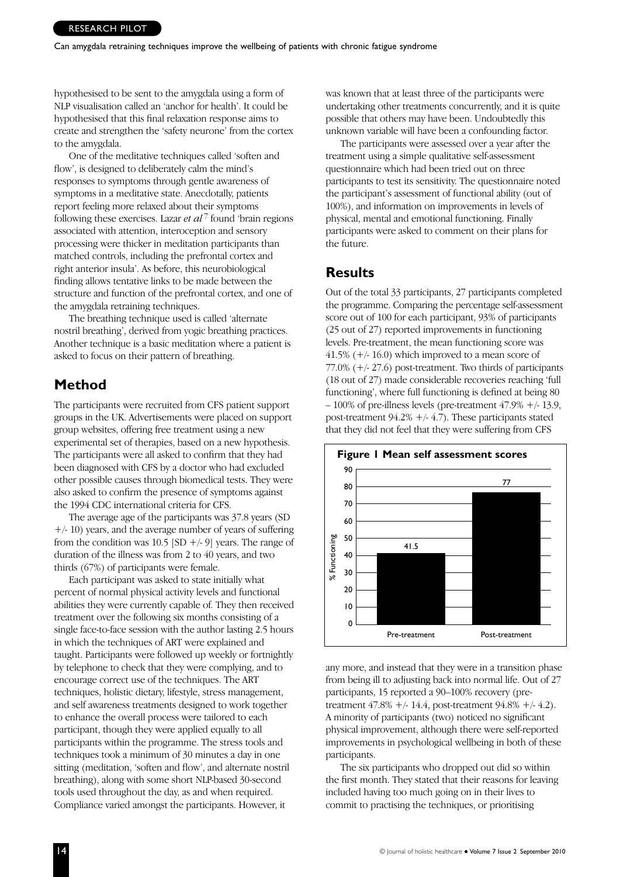hypothesised to be sent to the amygdala using a form of NLP visualisation called an 'anchor for health'. It could be hypothesised that this final relaxation response aims to create and strengthen the 'safety neurone' from the cortex to the amygdala.

One of the meditative techniques called 'soften and flow', is designed to deliberately calm the mind's responses to symptoms through gentle awareness of symptoms in a meditative state. Anecdotally, patients report feeling more relaxed about their symptoms following these exercises. Lazar *et al* <sup>7</sup> found 'brain regions associated with attention, interoception and sensory processing were thicker in meditation participants than matched controls, including the prefrontal cortex and right anterior insula'. As before, this neurobiological finding allows tentative links to be made between the structure and function of the prefrontal cortex, and one of the amygdala retraining techniques.

The breathing technique used is called 'alternate nostril breathing', derived from yogic breathing practices. Another technique is a basic meditation where a patient is asked to focus on their pattern of breathing.

## **Method**

The participants were recruited from CFS patient support groups in the UK. Advertisements were placed on support group websites, offering free treatment using a new experimental set of therapies, based on a new hypothesis. The participants were all asked to confirm that they had been diagnosed with CFS by a doctor who had excluded other possible causes through biomedical tests. They were also asked to confirm the presence of symptoms against the 1994 CDC international criteria for CFS.

The average age of the participants was 37.8 years (SD +/- 10) years, and the average number of years of suffering from the condition was 10.5 [SD  $+/-9$ ] years. The range of duration of the illness was from 2 to 40 years, and two thirds (67%) of participants were female.

Each participant was asked to state initially what percent of normal physical activity levels and functional abilities they were currently capable of. They then received treatment over the following six months consisting of a single face-to-face session with the author lasting 2.5 hours in which the techniques of ART were explained and taught. Participants were followed up weekly or fortnightly by telephone to check that they were complying, and to encourage correct use of the techniques. The ART techniques, holistic dietary, lifestyle, stress management, and self awareness treatments designed to work together to enhance the overall process were tailored to each participant, though they were applied equally to all participants within the programme. The stress tools and techniques took a minimum of 30 minutes a day in one sitting (meditation, 'soften and flow', and alternate nostril breathing), along with some short NLP-based 30-second tools used throughout the day, as and when required. Compliance varied amongst the participants. However, it

was known that at least three of the participants were undertaking other treatments concurrently, and it is quite possible that others may have been. Undoubtedly this unknown variable will have been a confounding factor.

The participants were assessed over a year after the treatment using a simple qualitative self-assessment questionnaire which had been tried out on three participants to test its sensitivity. The questionnaire noted the participant's assessment of functional ability (out of 100%), and information on improvements in levels of physical, mental and emotional functioning. Finally participants were asked to comment on their plans for the future.

## **Results**

Out of the total 33 participants, 27 participants completed the programme. Comparing the percentage self-assessment score out of 100 for each participant, 93% of participants (25 out of 27) reported improvements in functioning levels. Pre-treatment, the mean functioning score was  $41.5\%$  (+/- 16.0) which improved to a mean score of 77.0% (+/- 27.6) post-treatment. Two thirds of participants (18 out of 27) made considerable recoveries reaching 'full functioning', where full functioning is defined at being 80 – 100% of pre-illness levels (pre-treatment 47.9% +/- 13.9, post-treatment  $94.2\% +/- 4.7$ . These participants stated that they did not feel that they were suffering from CFS



any more, and instead that they were in a transition phase from being ill to adjusting back into normal life. Out of 27 participants, 15 reported a 90–100% recovery (pretreatment 47.8% +/- 14.4, post-treatment 94.8% +/- 4.2). A minority of participants (two) noticed no significant physical improvement, although there were self-reported improvements in psychological wellbeing in both of these participants.

The six participants who dropped out did so within the first month. They stated that their reasons for leaving included having too much going on in their lives to commit to practising the techniques, or prioritising